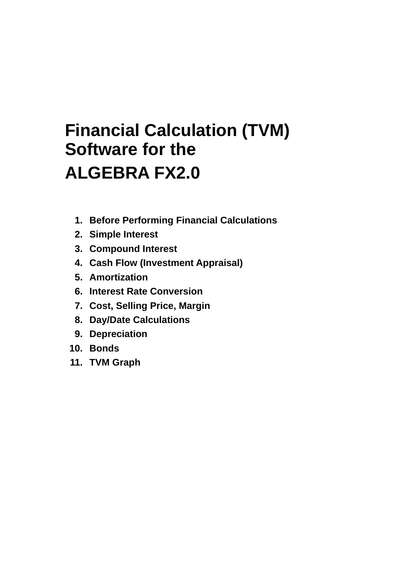## **Financial Calculation (TVM) Software for the ALGEBRA FX2.0**

- **1. Before Performing Financial Calculations**
- **2. Simple Interest**
- **3. Compound Interest**
- **4. Cash Flow (Investment Appraisal)**
- **5. Amortization**
- **6. Interest Rate Conversion**
- **7. Cost, Selling Price, Margin**
- **8. Day/Date Calculations**
- **9. Depreciation**
- **10. Bonds**
- **11. TVM Graph**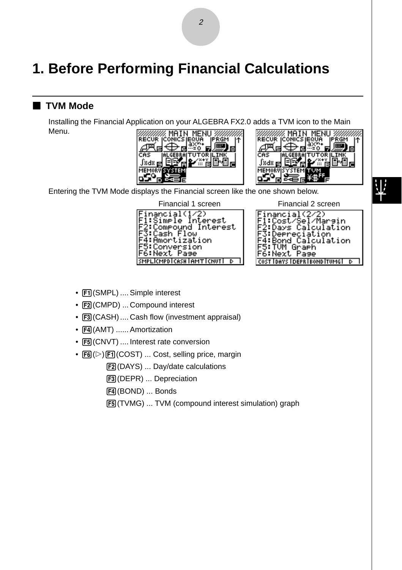## **1. Before Performing Financial Calculations**

#### **TVM Mode**

Installing the Financial Application on your ALGEBRA FX2.0 adds a TVM icon to the Main Menu.





Entering the TVM Mode displays the Financial screen like the one shown below.

Financial 1 screen Financial 2 screen

| Financial(1/2)                |
|-------------------------------|
| Fl:Simple Interest            |
| F2:Compound Interest          |
| F3:Cash Flow                  |
| F4:Amortization               |
| F5:Conversion<br>F6:Next Pase |
|                               |
| SMPLICMPDICASHIAMTICNUTI D    |

nancial(2/2)<br>:Cost/Sel/Margin<br>:Days Calculation reciation alculation Graeh Page T IDAYS I DEPRI BOND ITUMGI D

- $F1$ (SMPL) .... Simple interest
- F2 (CMPD) ... Compound interest
- $F3$  (CASH) .... Cash flow (investment appraisal)
- $F4$  (AMT) ...... Amortization
- [F5] (CNVT) .... Interest rate conversion
- $F6(\triangleright)$   $F1$  (COST) ... Cost, selling price, margin

2(DAYS) ... Day/date calculations

- 3(DEPR) ... Depreciation
- 4(BOND) ... Bonds
- 5(TVMG) ... TVM (compound interest simulation) graph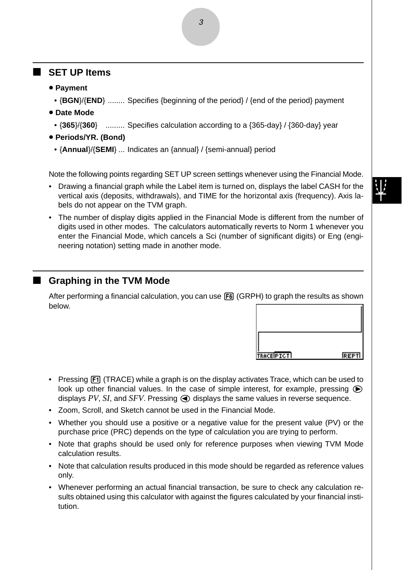#### **SET UP Items**

- $\bullet$  Payment
	- {**BGN**}/{**END**} ........ Specifies {beginning of the period} / {end of the period} payment
- $\bullet$  Date Mode
	- {**365**}/{**360**} ......... Specifies calculation according to a {365-day} / {360-day} year
- u **Periods/YR. (Bond)**
	- {**Annual**}/{**SEMI**} ... Indicates an {annual} / {semi-annual} period

Note the following points regarding SET UP screen settings whenever using the Financial Mode.

- Drawing a financial graph while the Label item is turned on, displays the label CASH for the vertical axis (deposits, withdrawals), and TIME for the horizontal axis (frequency). Axis labels do not appear on the TVM graph.
- The number of display digits applied in the Financial Mode is different from the number of digits used in other modes. The calculators automatically reverts to Norm 1 whenever you enter the Financial Mode, which cancels a Sci (number of significant digits) or Eng (engineering notation) setting made in another mode.

#### **K** Graphing in the TVM Mode

After performing a financial calculation, you can use **F6** (GRPH) to graph the results as shown below.

| TRACEPICT | <b>REPTI</b> |
|-----------|--------------|

- Pressing [F1] (TRACE) while a graph is on the display activates Trace, which can be used to look up other financial values. In the case of simple interest, for example, pressing  $\bigcirc$ displays  $PV$ ,  $SI$ , and  $SFV$ . Pressing  $\bigodot$  displays the same values in reverse sequence.
- Zoom, Scroll, and Sketch cannot be used in the Financial Mode.
- Whether you should use a positive or a negative value for the present value (PV) or the purchase price (PRC) depends on the type of calculation you are trying to perform.
- Note that graphs should be used only for reference purposes when viewing TVM Mode calculation results.
- Note that calculation results produced in this mode should be regarded as reference values only.
- Whenever performing an actual financial transaction, be sure to check any calculation results obtained using this calculator with against the figures calculated by your financial institution.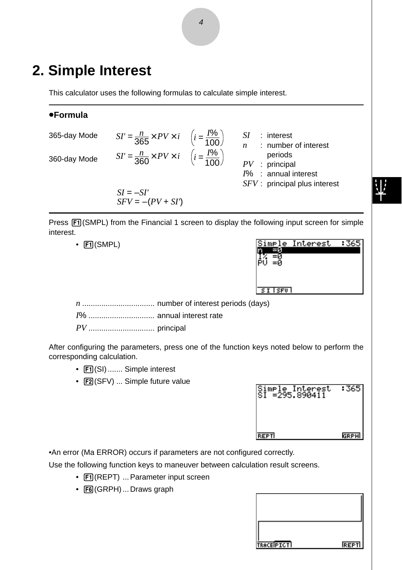## **2. Simple Interest**

This calculator uses the following formulas to calculate simple interest.

#### u**Formula**

| 365-day Mode | $SI' = \frac{n}{365} \times PV \times i \quad \left(i = \frac{1\%}{100}\right)$ | $:$ interest<br>: number of interest                                                       |  |
|--------------|---------------------------------------------------------------------------------|--------------------------------------------------------------------------------------------|--|
| 360-day Mode | $SI' = \frac{n}{360} \times PV \times i \quad \left(i = \frac{I\%}{100}\right)$ | periods<br>$PV$ : principal<br>$I\%$ : annual interest<br>$S FV$ : principal plus interest |  |
|              | $SI = -SI'$<br>$SFV = -(PV + SI')$                                              |                                                                                            |  |

Press  $[Fi]$ (SMPL) from the Financial 1 screen to display the following input screen for simple interest.

• FI(SMPL)

|                      | Simple Interest |  |
|----------------------|-----------------|--|
|                      |                 |  |
|                      |                 |  |
|                      |                 |  |
| $ST$ $S$ $F$ $U$ $V$ |                 |  |

*n* .................................. number of interest periods (days)

*I*% ............................... annual interest rate

*PV* ............................... principal

After configuring the parameters, press one of the function keys noted below to perform the corresponding calculation.

- F1 (SI) ....... Simple interest
- [F2] (SFV) ... Simple future value

| Simple Interest<br>SI =295.890411 | :365 |
|-----------------------------------|------|
|                                   |      |
| <b>REPT</b>                       | GRPH |

•An error (Ma ERROR) occurs if parameters are not configured correctly.

Use the following function keys to maneuver between calculation result screens.

- Fil(REPT) ... Parameter input screen
- F6(GRPH) ... Draws graph

| TRACEPICT | <b>REPTI</b> |
|-----------|--------------|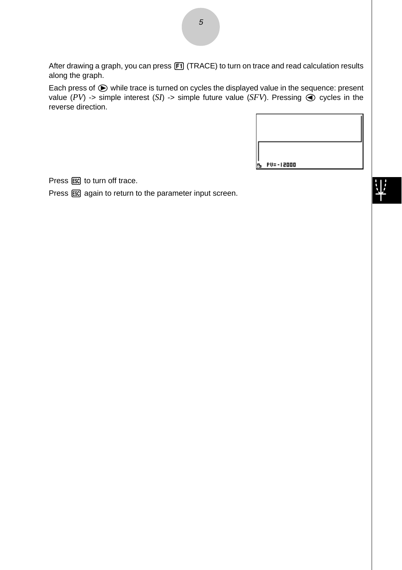After drawing a graph, you can press  $[FT]$  (TRACE) to turn on trace and read calculation results along the graph.

Each press of  $\odot$  while trace is turned on cycles the displayed value in the sequence: present value  $(PV)$  -> simple interest  $(SI)$  -> simple future value  $(SFV)$ . Pressing  $\bigcirc$  cycles in the reverse direction.

| <b>PV=-12000</b> |  |
|------------------|--|

Press  $\overline{\text{ESC}}$  to turn off trace.

Press  $\epsilon$  again to return to the parameter input screen.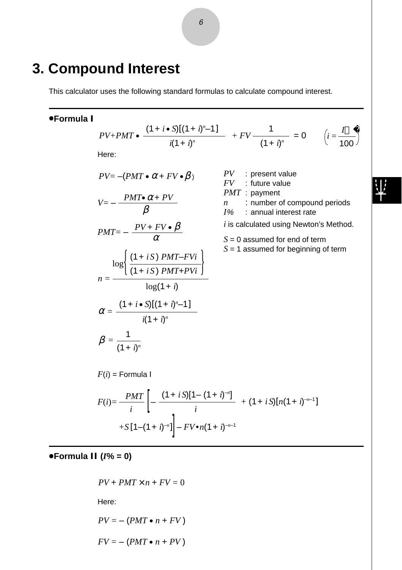### **3. Compound Interest**

This calculator uses the following standard formulas to calculate compound interest.

#### u**Formula I**

$$
PV + PMT \bullet \frac{(1 + i \bullet S)[(1 + i)^{n} - 1]}{i(1 + i)^{n}} + FV \frac{1}{(1 + i)^{n}} = 0 \qquad \left(i = \frac{I}{100}\right)
$$

 $\frac{m_1}{i}$   $\left[ -\frac{(1+iS)(n(1+i)^{-n-1})}{i} \right]$ 

Here:

$$
PV = -(PMT \bullet \alpha + FV \bullet \beta)
$$

$$
V = -\frac{PMT \bullet \alpha + PV}{\beta}
$$

$$
PMT = -\frac{PV + FV \bullet \beta}{\alpha}
$$

$$
n = \frac{\log \left\{ \frac{(1+iS) PMT - FVi}{(1+iS) PMT + PVi} \right\}}{\log(1+i)}
$$

$$
\alpha = \frac{(1+i \cdot S)[(1+i)^{n} - 1]}{i(1+i)^{n}}
$$

 $F(i) = \frac{PMT}{i} \left[ - \frac{(1+iS)[1-(1+i)^{-n}]}{i} \right]$ 

*PV* : present value *FV* : future value *PMT* : payment

*n* : number of compound periods<br>*I%* : annual interest rate *I*% : annual interest rate

*i* is calculated using Newton's Method.

*S* = 0 assumed for end of term

*S* = 1 assumed for beginning of term

$$
+S[1-(1+i)^{-n}]
$$
  $-FV\cdot n(1+i)^{-n-1}$ 

 $\beta = \frac{1}{(1+i)^n}$ 

 $F(i)$  = Formula I

u**Formula II (***I***% = 0)**

$$
PV + PMT \times n + FV = 0
$$
  
Here:  

$$
PV = -(PMT \bullet n + FV)
$$

$$
FV = -(PMT \bullet n + PV)
$$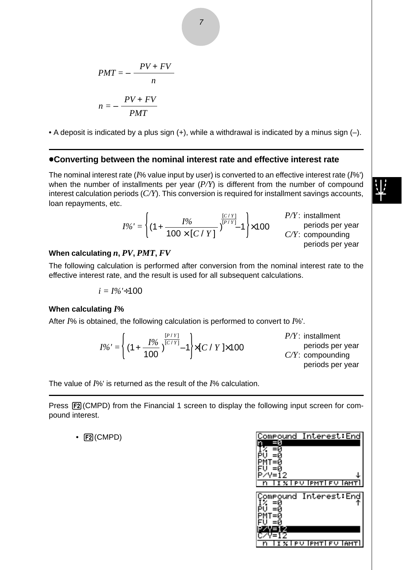$$
PMT = -\frac{PV + FV}{n}
$$

$$
n = -\frac{PV + FV}{PMT}
$$

• A deposit is indicated by a plus sign  $(+)$ , while a withdrawal is indicated by a minus sign  $(-)$ .

#### u**Converting between the nominal interest rate and effective interest rate**

The nominal interest rate (*I*% value input by user) is converted to an effective interest rate (*I*%') when the number of installments per year (*P/Y*) is different from the number of compound interest calculation periods (*C/Y*). This conversion is required for installment savings accounts, loan repayments, etc.

$$
I\%' = \left\{ (1 + \frac{I\%}{100 \times [C / Y]})^{\frac{[C / Y]}{[P / Y]}} 1 \right\} \times 100
$$
  
 
$$
P/Y: \text{ installment}
$$
  
 
$$
C/Y: \text{ compounding}
$$
  
 
$$
C/Y: \text{ compounding}
$$
  
 
$$
\text{periods per year}
$$

#### **When calculating** *n***,** *PV***,** *PMT***,** *FV*

The following calculation is performed after conversion from the nominal interest rate to the effective interest rate, and the result is used for all subsequent calculations.

$$
i=I\%'+100
$$

#### **When calculating** *I***%**

After *I*% is obtained, the following calculation is performed to convert to *I*%'.



The value of *I*%' is returned as the result of the *I*% calculation.

Press  $[Fe]$ (CMPD) from the Financial 1 screen to display the following input screen for compound interest.

 $\cdot$   $\boxed{F2}$ (CMPD)

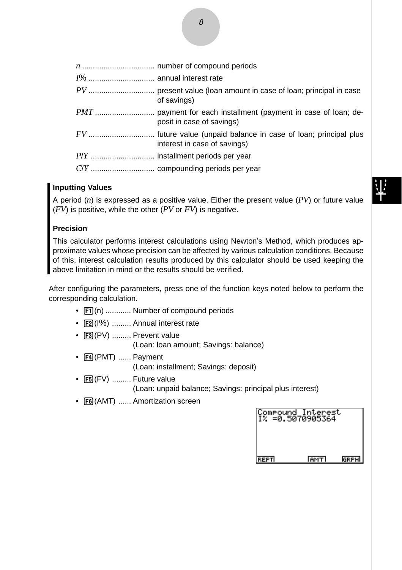| 1%  annual interest rate |                                                                                                  |
|--------------------------|--------------------------------------------------------------------------------------------------|
|                          | of savings)                                                                                      |
|                          | posit in case of savings)                                                                        |
|                          | FV  future value (unpaid balance in case of loan; principal plus<br>interest in case of savings) |
|                          |                                                                                                  |
|                          |                                                                                                  |
|                          |                                                                                                  |

#### **Inputting Values**

A period (*n*) is expressed as a positive value. Either the present value (*PV*) or future value (*FV*) is positive, while the other (*PV* or *FV*) is negative.

#### **Precision**

This calculator performs interest calculations using Newton's Method, which produces approximate values whose precision can be affected by various calculation conditions. Because of this, interest calculation results produced by this calculator should be used keeping the above limitation in mind or the results should be verified.

After configuring the parameters, press one of the function keys noted below to perform the corresponding calculation.

- F1(n) ............ Number of compound periods
- [F2] (I%) ......... Annual interest rate
- $\bullet$   $\overline{F3}$ (PV) ......... Prevent value (Loan: loan amount; Savings: balance)
- F4(PMT) ...... Payment (Loan: installment; Savings: deposit)
- $\bullet$   $\overline{F5}$ (FV) ......... Future value (Loan: unpaid balance; Savings: principal plus interest)
- [F6] (AMT) ...... Amortization screen

| Compound Interest<br>I% =0.5070905364 |               |      |  |
|---------------------------------------|---------------|------|--|
|                                       |               |      |  |
| REPTI                                 | <u>Гамт I</u> | GRPH |  |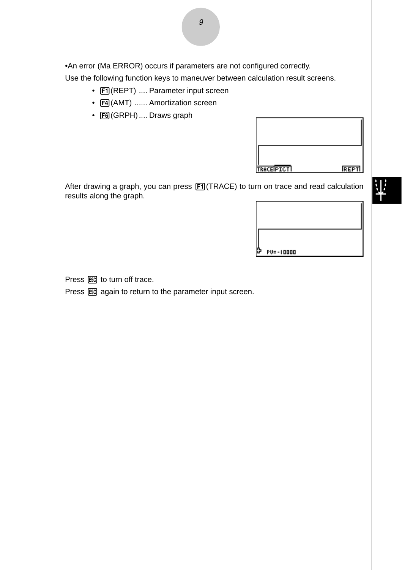•An error (Ma ERROR) occurs if parameters are not configured correctly.

Use the following function keys to maneuver between calculation result screens.

- [F1] (REPT) .... Parameter input screen
- F4(AMT) ...... Amortization screen
- F6 (GRPH) .... Draws graph

| TRACEPICT | <b>REPT</b> |
|-----------|-------------|

业

After drawing a graph, you can press  $F1$ (TRACE) to turn on trace and read calculation results along the graph.

 $PU = -10000$ 

Press  $\overline{\text{ESC}}$  to turn off trace.

Press  $\overline{ES}$  again to return to the parameter input screen.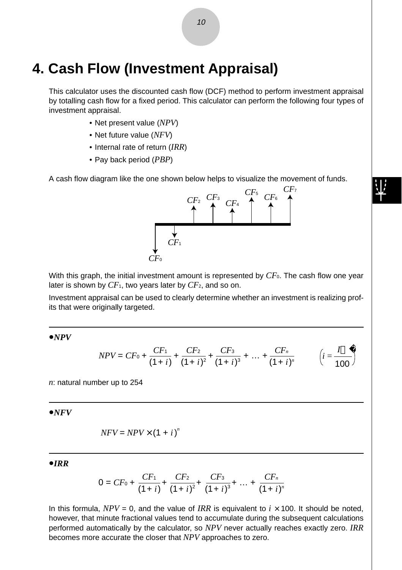## **4. Cash Flow (Investment Appraisal)**

This calculator uses the discounted cash flow (DCF) method to perform investment appraisal by totalling cash flow for a fixed period. This calculator can perform the following four types of investment appraisal.

- Net present value (*NPV*)
- Net future value (*NFV*)
- Internal rate of return (*IRR*)
- Pay back period (*PBP*)

A cash flow diagram like the one shown below helps to visualize the movement of funds.



With this graph, the initial investment amount is represented by  $CF_0$ . The cash flow one year later is shown by *CF*1, two years later by *CF*2, and so on.

Investment appraisal can be used to clearly determine whether an investment is realizing profits that were originally targeted.

 $\bullet$ *NPV* 

$$
NPV = CF_0 + \frac{CF_1}{(1+i)} + \frac{CF_2}{(1+i)^2} + \frac{CF_3}{(1+i)^3} + \dots + \frac{CF_n}{(1+i)^n} \qquad \left(i = \frac{I}{100}\right)
$$

*n*: natural number up to 254

 $\bullet$ *NFV* 

$$
NFV = NPV \times (1 + i)^n
$$

u*IRR*

$$
0 = CF_0 + \frac{CF_1}{(1+i)} + \frac{CF_2}{(1+i)^2} + \frac{CF_3}{(1+i)^3} + \dots + \frac{CF_n}{(1+i)^n}
$$

In this formula,  $NPV = 0$ , and the value of *IRR* is equivalent to  $i \times 100$ . It should be noted, however, that minute fractional values tend to accumulate during the subsequent calculations performed automatically by the calculator, so *NPV* never actually reaches exactly zero. *IRR* becomes more accurate the closer that *NPV* approaches to zero.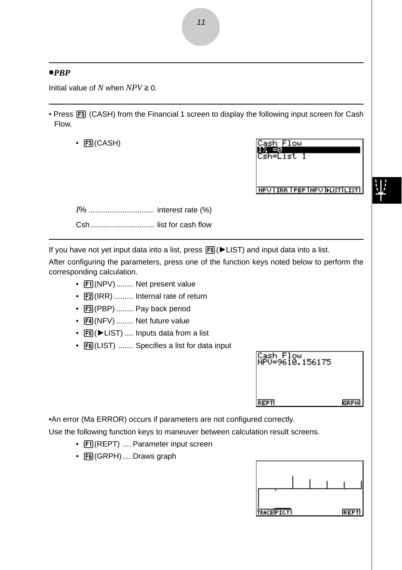#### u*PBP*

Initial value of  $N$  when  $NPV \geq 0$ .

- Press [F3] (CASH) from the Financial 1 screen to display the following input screen for Cash Flow.
	- $\cdot$   $[3]$ (CASH)



**NPUTTER TPBP INFUTFLISTICTST** 

*I*% ............................... interest rate (%) Csh .............................. list for cash flow

If you have not yet input data into a list, press  $[FS]$  ( $\blacktriangleright$  LIST) and input data into a list.

After configuring the parameters, press one of the function keys noted below to perform the corresponding calculation.

- Fil(NPV)........ Net present value
- F2(IRR) ......... Internal rate of return
- [F3] (PBP) ........ Pay back period
- [F4] (NFV) ........ Net future value
- [F5] ( $\blacktriangleright$  LIST) .... Inputs data from a list
- [F6] (LIST) ....... Specifies a list for data input

| Cash Flow<br>NPV=9610.156175 |      |
|------------------------------|------|
| <b>REPT</b>                  | GRPH |

•An error (Ma ERROR) occurs if parameters are not configured correctly.

Use the following function keys to maneuver between calculation result screens.

- Fil(REPT) .... Parameter input screen
- F6(GRPH) .... Draws graph

| TRACEPTCT |  | <b>REPTI</b> |
|-----------|--|--------------|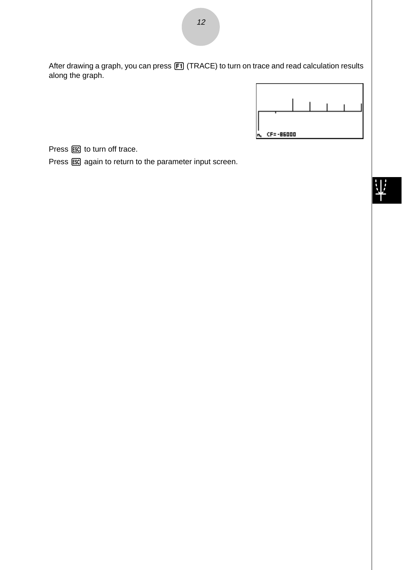After drawing a graph, you can press [F1] (TRACE) to turn on trace and read calculation results along the graph.



 $\downarrow$ 

Press  $\overline{\text{ESC}}$  to turn off trace.

Press  $\overline{ES}$  again to return to the parameter input screen.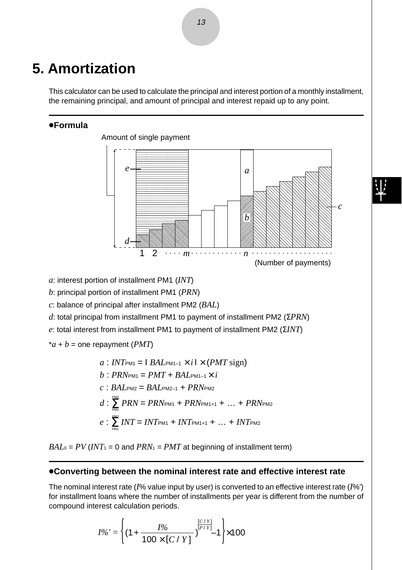## **5. Amortization**

This calculator can be used to calculate the principal and interest portion of a monthly installment, the remaining principal, and amount of principal and interest repaid up to any point.

#### u**Formula**



*a*: interest portion of installment PM1 (*INT*)

*b*: principal portion of installment PM1 (*PRN*)

*c*: balance of principal after installment PM2 (*BAL*)

*d*: total principal from installment PM1 to payment of installment PM2 (Σ*PRN*)

*e*: total interest from installment PM1 to payment of installment PM2 (Σ*INT*)

 $a + b$  = one repayment (*PMT*)

 $a: INT_{PM1} = | BAL_{PM1-1} \times i| \times (PMT \text{ sign})$  $b$  **·** *PRN*<sub>PM1</sub> = *PMT* + *BAL*<sub>PM1–1</sub>  $\times$  *i*  $c : BAL_{PM2} = BAL_{PM2-1} + PRN_{PM2}$  $d$  :  $\frac{PMS}{PM} PRN = PRN$ PM1 +  $PRN$ PM1+1 + ... +  $PRN$ PM2  $e$  :  $\sum_{\text{PMI}}^{\text{PM2}}$  *INT* = *INT* pm<sub>1</sub> + *INT* pm<sub>1+1</sub> + … + *INT* pm<sub>2</sub> PM1 PM1

 $BAL<sub>0</sub> = PV (INT<sub>1</sub> = 0$  and  $PRN<sub>1</sub> = PMT$  at beginning of installment term)

#### u**Converting between the nominal interest rate and effective interest rate**

The nominal interest rate (*I*% value input by user) is converted to an effective interest rate (*I*%') for installment loans where the number of installments per year is different from the number of compound interest calculation periods.

$$
I\%' = \left\{ (1 + \frac{I\%}{100 \times [C / Y]})^{\frac{[C / Y]}{[P / Y]}} - 1 \right\} \times 100
$$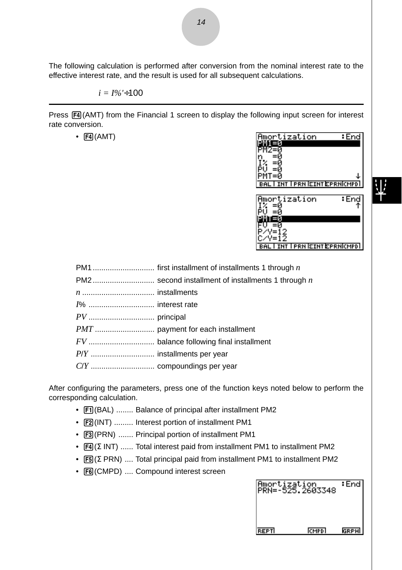The following calculation is performed after conversion from the nominal interest rate to the effective interest rate, and the result is used for all subsequent calculations.

 $i = 1\% + 100$ 

Press  $\overline{[F4]}$ (AMT) from the Financial 1 screen to display the following input screen for interest rate conversion.

 $\cdot$   $\boxed{F4}$ (AMT)

| : End<br>mortization                   |
|----------------------------------------|
|                                        |
|                                        |
|                                        |
| т=и                                    |
| <b>BAL I INT I PRN EINT EPRNICMPDI</b> |
|                                        |
| End<br>mortization                     |
|                                        |
|                                        |
|                                        |
|                                        |
| <b>INT I PRN EINT EPRNICMPDI</b>       |
|                                        |
| istallments 1 through $n$              |
| of installments 1 through $n$          |

After configuring the parameters, press one of the function keys noted below to perform the corresponding calculation.

- $\boxed{F1}$ (BAL) ........ Balance of principal after installment PM2
- $F2$ (INT) ......... Interest portion of installment PM1
- [F3] (PRN) ....... Principal portion of installment PM1
- [F4] (Σ INT) ...... Total interest paid from installment PM1 to installment PM2
- [F5] (Σ PRN) .... Total principal paid from installment PM1 to installment PM2
- F6(CMPD) .... Compound interest screen

|             | Amortization<br>PRN=-525.2603348 | : Endl      |
|-------------|----------------------------------|-------------|
| <b>REPT</b> | CMPD <sup>1</sup>                | <b>GRPH</b> |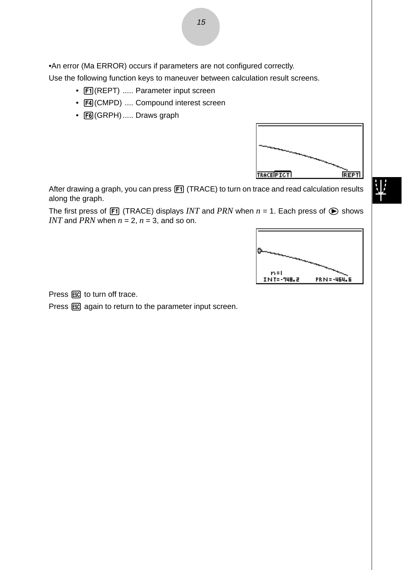•An error (Ma ERROR) occurs if parameters are not configured correctly.

Use the following function keys to maneuver between calculation result screens.

- Fil(REPT) ..... Parameter input screen
- F4(CMPD) .... Compound interest screen
- F6(GRPH) ..... Draws graph



业

After drawing a graph, you can press [F1] (TRACE) to turn on trace and read calculation results along the graph.

The first press of  $\overline{[F]}$  (TRACE) displays *INT* and *PRN* when  $n = 1$ . Each press of  $\bigcirc$  shows *INT* and *PRN* when  $n = 2$ ,  $n = 3$ , and so on.



Press [ESC] to turn off trace.

Press  $\overline{ES}$  again to return to the parameter input screen.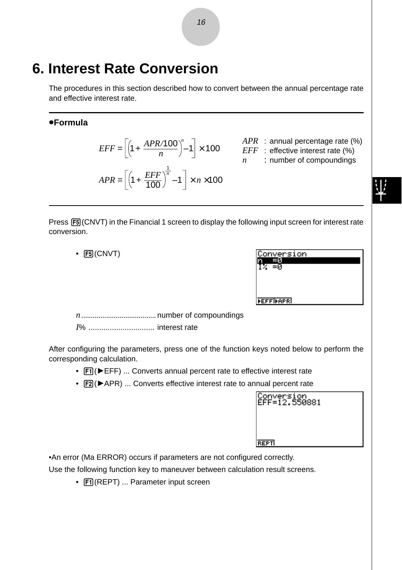## **6. Interest Rate Conversion**

The procedures in this section described how to convert between the annual percentage rate and effective interest rate.

#### u**Formula**

# $EFF = \left[\left(1 + \frac{APR/100}{n}\right)^n - 1\right] \times 100$  *APR* : annual percentage rate (%)<br>*EFF* : effective interest rate (%)  $APR = \left[ \left( 1 + \frac{EFF}{100} \right)^{\frac{1}{n}} - 1 \right] \times n \times 100$

- 
- *EFF* : effective interest rate (%)
	- *n* : number of compoundings

Press  $F5$  (CNVT) in the Financial 1 screen to display the following input screen for interest rate conversion.

 $\cdot$  F<sub>5</sub>(CNVT)

| Conversion       |  |
|------------------|--|
|                  |  |
|                  |  |
|                  |  |
|                  |  |
| <b>FEFFIFAPR</b> |  |

*n* ....................................... number of compoundings

*I*% ............................... interest rate

After configuring the parameters, press one of the function keys noted below to perform the corresponding calculation.

- $[FI]$  ( $EFF$ ) ... Converts annual percent rate to effective interest rate
- $[Fe](\blacktriangleright$  APR) ... Converts effective interest rate to annual percent rate

| Conversion<br>EFF=12.550881 |  |
|-----------------------------|--|
|                             |  |
| <b>REPT</b>                 |  |

•An error (Ma ERROR) occurs if parameters are not configured correctly.

Use the following function key to maneuver between calculation result screens.

•  $\boxed{F1}$ (REPT) ... Parameter input screen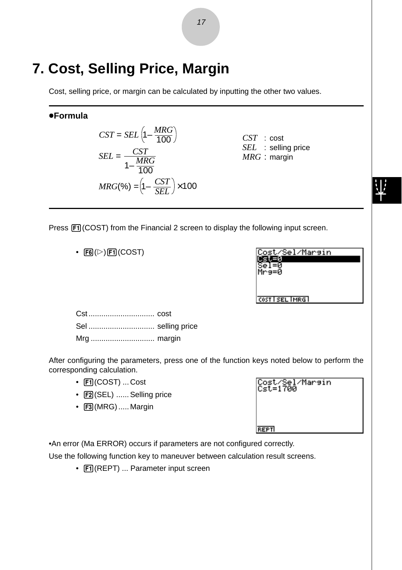## **7. Cost, Selling Price, Margin**

Cost, selling price, or margin can be calculated by inputting the other two values.

#### u**Formula**

$$
CST = SEL \left(1 - \frac{MRG}{100}\right)
$$

$$
SEL = \frac{CST}{1 - \frac{MRG}{100}}
$$

$$
MRG(\%) = \left(1 - \frac{CST}{SEL}\right) \times 100
$$

*CST* : cost *SEL* : selling price *MRG* : margin

Press  $\overline{[F1]}$  (COST) from the Financial 2 screen to display the following input screen.

 $\cdot$  F6( $\triangleright$ ) F1(COST)

| Cost/Sel/Marsin |  |
|-----------------|--|
|                 |  |
| rg=0            |  |
|                 |  |
|                 |  |
| COST SEL IMRG I |  |

Cst ............................... cost Sel ............................... selling price Mrg .............................. margin

After configuring the parameters, press one of the function keys noted below to perform the corresponding calculation.

- Fil(COST) ... Cost
- F2(SEL) ...... Selling price
- $\bullet$   $[FB]$  (MRG) ..... Margin

| Cost/Sel/Marsin<br>Cst=1700 |  |
|-----------------------------|--|
|                             |  |
| <b>REPT</b>                 |  |

•An error (Ma ERROR) occurs if parameters are not configured correctly.

Use the following function key to maneuver between calculation result screens.

•  $[FI]$ (REPT) ... Parameter input screen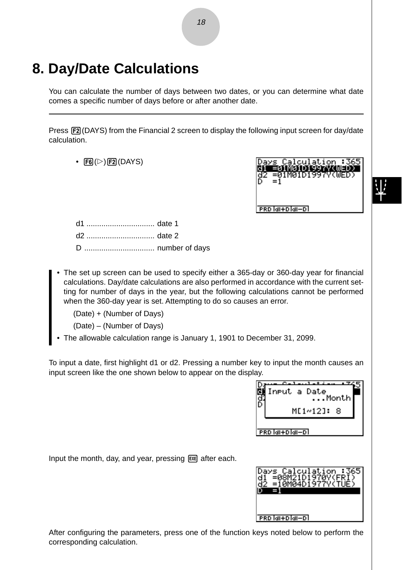## **8. Day/Date Calculations**

You can calculate the number of days between two dates, or you can determine what date comes a specific number of days before or after another date.

Press **[F2]** (DAYS) from the Financial 2 screen to display the following input screen for day/date calculation.

•  $FB(E)$  $FB$  $(DAYS)$ 



PRD MI+D MI-D

d1 ................................ date 1 d2 ................................ date 2 D ................................. number of days

• The set up screen can be used to specify either a 365-day or 360-day year for financial calculations. Day/date calculations are also performed in accordance with the current setting for number of days in the year, but the following calculations cannot be performed when the 360-day year is set. Attempting to do so causes an error.

(Date) + (Number of Days)

- (Date) (Number of Days)
- The allowable calculation range is January 1, 1901 to December 31, 2099.

To input a date, first highlight d1 or d2. Pressing a number key to input the month causes an input screen like the one shown below to appear on the display.



Input the month, day, and year, pressing [IIIE after each.



After configuring the parameters, press one of the function keys noted below to perform the corresponding calculation.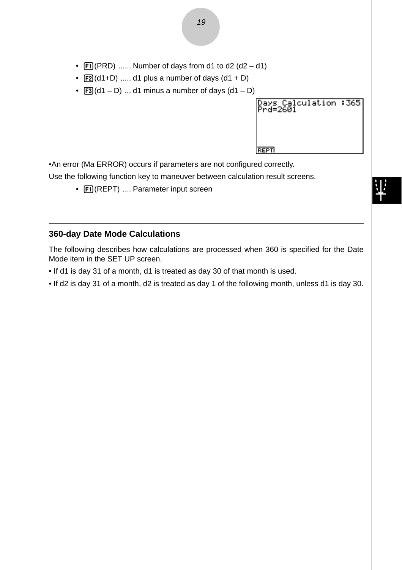- $\textsf{[F1]}(\textsf{PRD})$  ...... Number of days from d1 to d2 (d2 d1)
- $[**F2**](d1+D)$  ..... d1 plus a number of days  $(d1 + D)$
- $\overline{F3}(d1 D)$  ... d1 minus a number of days  $(d1 D)$



•An error (Ma ERROR) occurs if parameters are not configured correctly.

Use the following function key to maneuver between calculation result screens.

•  $\boxed{F1}$ (REPT) .... Parameter input screen

#### **360-day Date Mode Calculations**

The following describes how calculations are processed when 360 is specified for the Date Mode item in the SET UP screen.

- If d1 is day 31 of a month, d1 is treated as day 30 of that month is used.
- If d2 is day 31 of a month, d2 is treated as day 1 of the following month, unless d1 is day 30.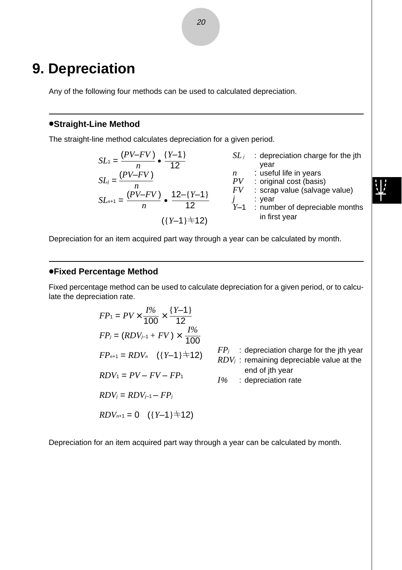## **9. Depreciation**

Any of the following four methods can be used to calculated depreciation.

#### $\bullet$ **Straight-Line Method**

The straight-line method calculates depreciation for a given period.

$$
SL_1 = \frac{(PV-FV)}{n} \cdot \frac{\{Y-1\}}{12}
$$
  
\n
$$
SL_j = \frac{(PV-FV)}{n}
$$
  
\n
$$
SL_j = \frac{(PV-FV)}{n}
$$
  
\n
$$
SL_j = \frac{(PV-FV)}{n}
$$
  
\n
$$
SL_j = \frac{(PV-FV)}{n}
$$
  
\n
$$
SU_j = \frac{V}{N}
$$
  
\n
$$
SU_j = \frac{V}{N}
$$
  
\n
$$
SU_j = \frac{V}{N}
$$
  
\n
$$
SU_j = \frac{V}{N}
$$
  
\n
$$
SU_2 = \frac{V}{N}
$$
  
\n
$$
SU_2 = \frac{V}{N}
$$
  
\n
$$
SU_2 = \frac{V}{N}
$$
  
\n
$$
SU_2 = \frac{V}{N}
$$
  
\n
$$
U = \frac{V}{N}
$$
  
\n
$$
U = \frac{V}{N}
$$
  
\n
$$
U = \frac{V}{N}
$$
  
\n
$$
U = \frac{V}{N}
$$
  
\n
$$
U = \frac{V}{N}
$$
  
\n
$$
U = \frac{V}{N}
$$
  
\n
$$
U = \frac{V}{N}
$$
  
\n
$$
U = \frac{V}{N}
$$
  
\n
$$
U = \frac{V}{N}
$$
  
\n
$$
U = \frac{V}{N}
$$
  
\n
$$
U = \frac{V}{N}
$$
  
\n
$$
U = \frac{V}{N}
$$
  
\n
$$
U = \frac{V}{N}
$$
  
\n
$$
U = \frac{V}{N}
$$
  
\n
$$
U = \frac{V}{N}
$$
  
\n
$$
U = \frac{V}{N}
$$
  
\n
$$
U = \frac{V}{N}
$$
  
\n
$$
U = \frac{V}{N}
$$
  
\n
$$
U = \frac{V}{N}
$$
  
\n
$$
U = \frac{V}{N}
$$
  
\n
$$
U = \frac{V}{N}
$$
  
\n
$$
U = \frac{V}{N}
$$
  
\n
$$
U = \frac{V}{N}
$$
<

Depreciation for an item acquired part way through a year can be calculated by month.

#### u**Fixed Percentage Method**

Fixed percentage method can be used to calculate depreciation for a given period, or to calculate the depreciation rate.

$$
FP_1 = PV \times \frac{I\%}{100} \times \frac{\{Y-1\}}{12}
$$
  
\n
$$
FP_j = (RDV_{j-1} + FV) \times \frac{I\%}{100}
$$
  
\n
$$
FP_{n+1} = RDV_n \quad (\{Y-1\} \pm 12) \qquad FP_j : \text{deprecision charge for the jth year}
$$
  
\n
$$
RDV_1 = PV - FV - FP_1
$$
  
\n
$$
RDV_j = RDV_{j-1} - FP_j
$$
  
\n
$$
RDV_j = RDV_{j-1} - FP_j
$$
  
\n
$$
RDV_{n+1} = 0 \quad (\{Y-1\} \pm 12)
$$

Depreciation for an item acquired part way through a year can be calculated by month.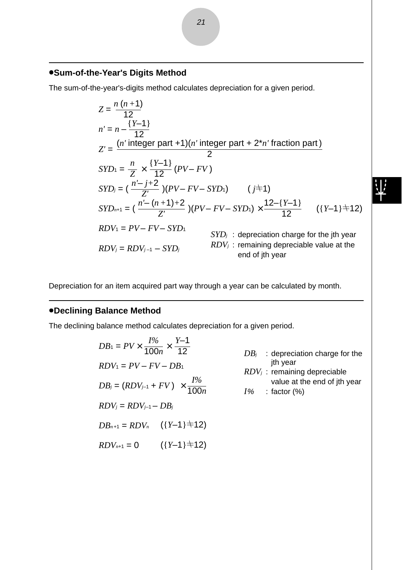#### u**Sum-of-the-Year's Digits Method**

The sum-of-the-year's-digits method calculates depreciation for a given period.

$$
Z = \frac{n(n+1)}{12}
$$
  
\n
$$
n' = n - \frac{Y-1}{12}
$$
  
\n
$$
Z' = \frac{(n' \text{ integer part} + 1)(n' \text{ integer part} + 2*n' fraction part)}{2}
$$
  
\n
$$
SYD_1 = \frac{n}{Z} \times \frac{Y-1}{12} (PV - FV)
$$
  
\n
$$
SYD_j = (\frac{n'-j+2}{Z'})(PV - FV - SYD_1) \qquad (j \neq 1)
$$
  
\n
$$
SYD_{n+1} = (\frac{n'-(n+1)+2}{Z'})(PV - FV - SYD_1) \times \frac{12-[Y-1]}{12} \qquad ((Y-1) \neq 12)
$$
  
\n
$$
RDV_1 = PV - FV - SYD_1 \qquad SYD_j : \text{depreciation charge for the jth year}
$$
  
\n
$$
RDV_j = RDV_{j-1} - SYD_j \qquad RDV_j : \text{remaining degreeiable value at the end of jth year}
$$

Depreciation for an item acquired part way through a year can be calculated by month.

#### *•Declining Balance Method*

The declining balance method calculates depreciation for a given period.

$$
DB_1 = PV \times \frac{I\%}{100n} \times \frac{Y-1}{12}
$$
  
\n
$$
BDV_1 = PV - FV - DB_1
$$
  
\n
$$
DB_j = (RDV_{j-1} + FV) \times \frac{I\%}{100n}
$$
  
\n
$$
BDV_j = RDV_{j-1} - DB_j
$$
  
\n
$$
BDV_j = RDV_{j-1} - DB_j
$$
  
\n
$$
DB_{n+1} = RDV_n \quad (\{Y-1\} \pm 12)
$$
  
\n
$$
[Y \pm 12]
$$
  
\n
$$
[Y \pm 12]
$$

 $RDV_{n+1} = 0$  ({*Y*-1} $\neq$ 12)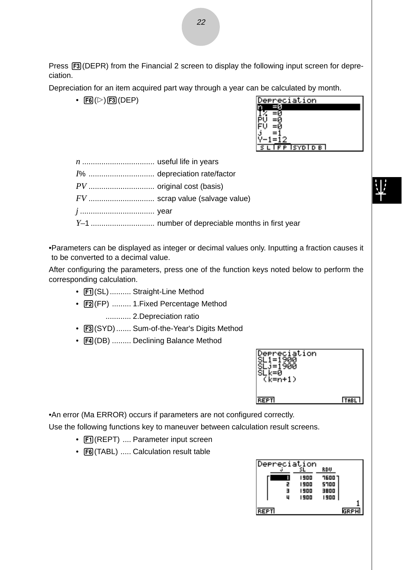Press  $F3$ (DEPR) from the Financial 2 screen to display the following input screen for depreciation.

Depreciation for an item acquired part way through a year can be calculated by month.

 $\cdot$   $\overline{FB}(\triangleright)$   $\overline{F3}$  (DEP)

| preciation    |
|---------------|
|               |
|               |
|               |
|               |
|               |
|               |
| P ISYDI D B I |
|               |

•Parameters can be displayed as integer or decimal values only. Inputting a fraction causes it to be converted to a decimal value.

After configuring the parameters, press one of the function keys noted below to perform the corresponding calculation.

- Fil(SL).......... Straight-Line Method
- F2(FP) ......... 1. Fixed Percentage Method
	- ............ 2.Depreciation ratio
- F3 (SYD) ....... Sum-of-the-Year's Digits Method
- F4(DB) ......... Declining Balance Method



•An error (Ma ERROR) occurs if parameters are not configured correctly.

Use the following functions key to maneuver between calculation result screens.

- $\boxed{F1}$ (REPT) .... Parameter input screen
- [F6] (TABL) ..... Calculation result table

| Depreciation |   |      |        |      |
|--------------|---|------|--------|------|
|              |   |      | RDU    |      |
|              |   | 1900 | ר סםפר |      |
|              | 2 | 1900 | 5700   |      |
|              | Е | 1900 | 3800   |      |
|              | u | 1900 | 1900   |      |
|              |   |      |        |      |
| REPTI        |   |      |        | GRPH |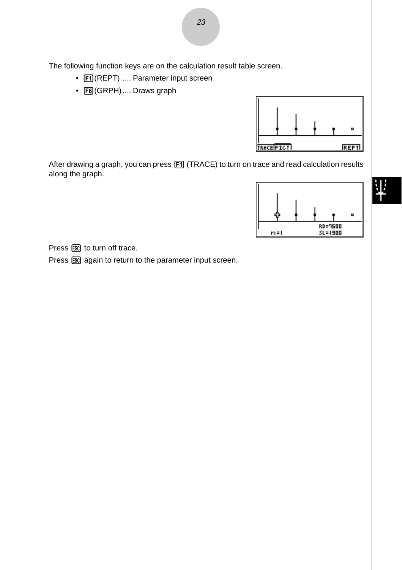The following function keys are on the calculation result table screen.

- FI (REPT) .... Parameter input screen
- F6 (GRPH) .... Draws graph



After drawing a graph, you can press [F1] (TRACE) to turn on trace and read calculation results along the graph.



Press [ESC] to turn off trace.

Press  $\overline{ES}$  again to return to the parameter input screen.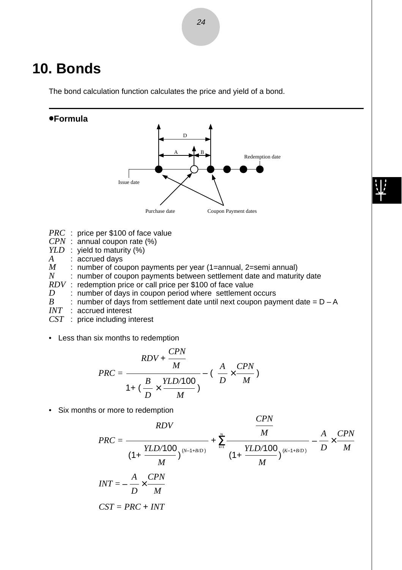## **10. Bonds**

The bond calculation function calculates the price and yield of a bond.

#### u**Formula**



$$
PRC = \frac{RDV + \frac{CPN}{M}}{1 + (\frac{B}{D} \times \frac{YLD/100}{M})} - (\frac{A}{D} \times \frac{CPN}{M})
$$

• Six months or more to redemption

$$
PRC = \frac{RDV}{(1 + \frac{YLD/100}{M})^{(N-1+B/D)}} + \sum_{k=1}^{N} \frac{M}{(1 + \frac{YLD/100}{M})^{(K-1+B/D)}} - \frac{A}{D} \times \frac{CPN}{M}
$$
  

$$
INT = -\frac{A}{D} \times \frac{CPN}{M}
$$
  

$$
CST = PRC + INT
$$

*CPN*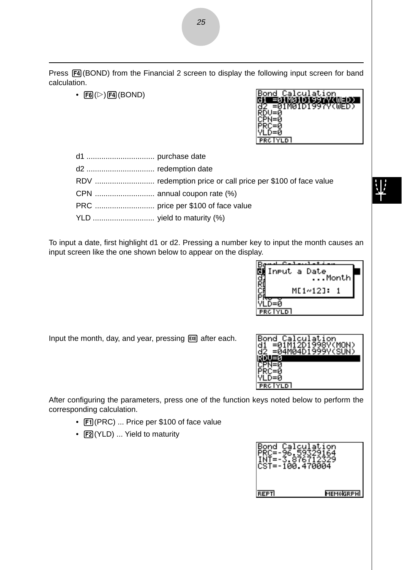Press  $FA(BOND)$  from the Financial 2 screen to display the following input screen for band calculation.

•  $F6(\triangleright)$   $F4$  (BOND)

| Calculation<br>Bond |
|---------------------|
|                     |
| 01M01D1997V(WED)    |
|                     |
|                     |
|                     |
|                     |
| <b>PRC IYLD</b>     |

| d2  redemption date        |  |
|----------------------------|--|
|                            |  |
|                            |  |
|                            |  |
| YLD  yield to maturity (%) |  |

To input a date, first highlight d1 or d2. Pressing a number key to input the month causes an input screen like the one shown below to appear on the display.



Input the month, day, and year, pressing [EXE] after each.



After configuring the parameters, press one of the function keys noted below to perform the corresponding calculation.

- Fil(PRC) ... Price per \$100 of face value
- [F2] (YLD) ... Yield to maturity

| Bond Calculation<br>CST=-100.470004 | 876        |
|-------------------------------------|------------|
| REPTI                               | MEMOIGRPHI |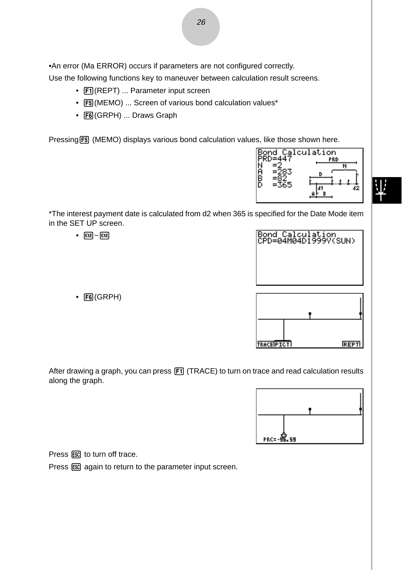•An error (Ma ERROR) occurs if parameters are not configured correctly.

Use the following functions key to maneuver between calculation result screens.

- Fil(REPT) ... Parameter input screen
- [F5] (MEMO) ... Screen of various bond calculation values\*
- F6(GRPH) ... Draws Graph

Pressing F5 (MEMO) displays various bond calculation values, like those shown here.



\*The interest payment date is calculated from d2 when 365 is specified for the Date Mode item in the SET UP screen.

•  $EXE$   $\sim$   $EXE$ 

Bond Calculation<br>CPD=04M04D1999Y(SUN)

**REPT** 

**TRACE PICT** 

 $\cdot$   $F6$  (GRPH)

After drawing a graph, you can press [F1] (TRACE) to turn on trace and read calculation results along the graph.



Press  $\text{ESC}$  to turn off trace.

Press  $\overline{ES}$  again to return to the parameter input screen.